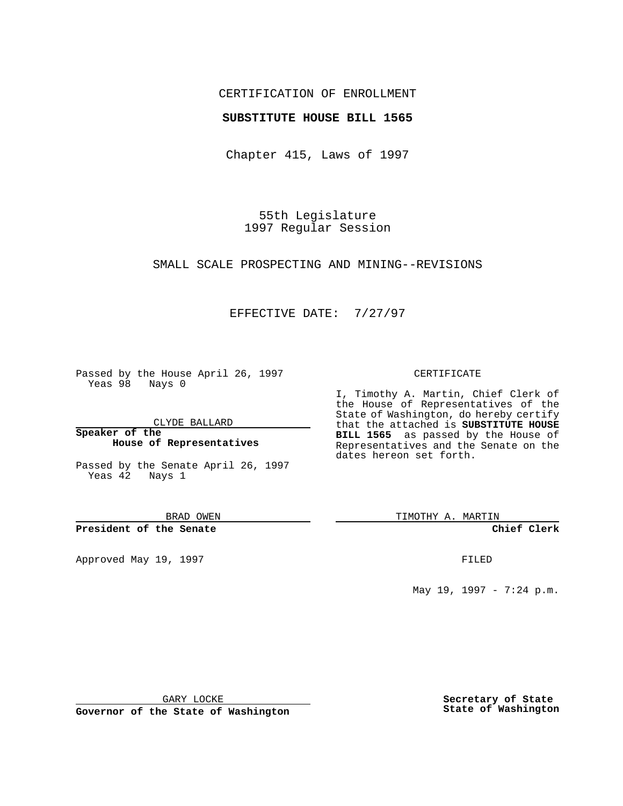## CERTIFICATION OF ENROLLMENT

### **SUBSTITUTE HOUSE BILL 1565**

Chapter 415, Laws of 1997

55th Legislature 1997 Regular Session

SMALL SCALE PROSPECTING AND MINING--REVISIONS

### EFFECTIVE DATE: 7/27/97

Passed by the House April 26, 1997 Yeas 98 Nays 0

CLYDE BALLARD

**Speaker of the House of Representatives**

Passed by the Senate April 26, 1997 Yeas  $42$  Nays 1

BRAD OWEN

**President of the Senate**

Approved May 19, 1997 **FILED** 

#### CERTIFICATE

I, Timothy A. Martin, Chief Clerk of the House of Representatives of the State of Washington, do hereby certify that the attached is **SUBSTITUTE HOUSE BILL 1565** as passed by the House of Representatives and the Senate on the dates hereon set forth.

TIMOTHY A. MARTIN

**Chief Clerk**

May 19, 1997 - 7:24 p.m.

GARY LOCKE

**Governor of the State of Washington**

**Secretary of State State of Washington**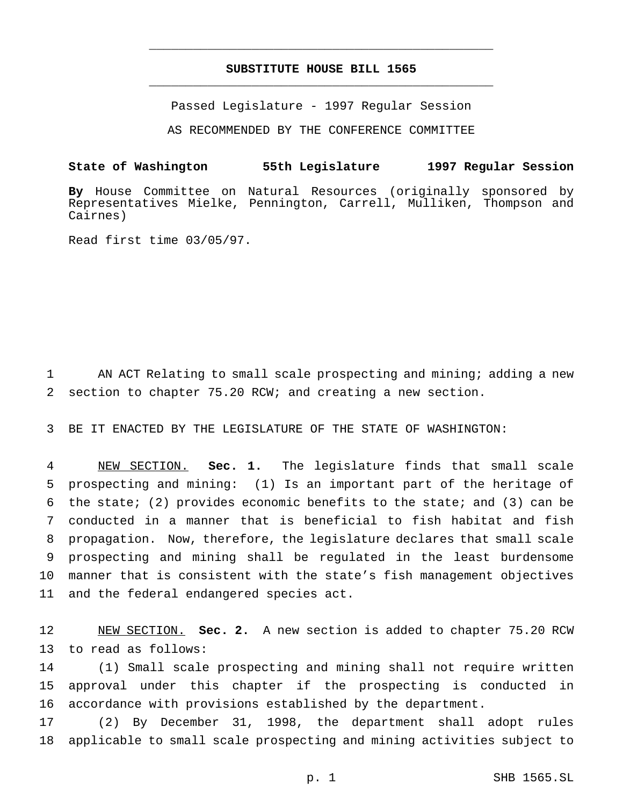# **SUBSTITUTE HOUSE BILL 1565** \_\_\_\_\_\_\_\_\_\_\_\_\_\_\_\_\_\_\_\_\_\_\_\_\_\_\_\_\_\_\_\_\_\_\_\_\_\_\_\_\_\_\_\_\_\_\_

\_\_\_\_\_\_\_\_\_\_\_\_\_\_\_\_\_\_\_\_\_\_\_\_\_\_\_\_\_\_\_\_\_\_\_\_\_\_\_\_\_\_\_\_\_\_\_

Passed Legislature - 1997 Regular Session

AS RECOMMENDED BY THE CONFERENCE COMMITTEE

**State of Washington 55th Legislature 1997 Regular Session**

**By** House Committee on Natural Resources (originally sponsored by Representatives Mielke, Pennington, Carrell, Mulliken, Thompson and Cairnes)

Read first time 03/05/97.

 AN ACT Relating to small scale prospecting and mining; adding a new section to chapter 75.20 RCW; and creating a new section.

BE IT ENACTED BY THE LEGISLATURE OF THE STATE OF WASHINGTON:

 NEW SECTION. **Sec. 1.** The legislature finds that small scale prospecting and mining: (1) Is an important part of the heritage of the state; (2) provides economic benefits to the state; and (3) can be conducted in a manner that is beneficial to fish habitat and fish propagation. Now, therefore, the legislature declares that small scale prospecting and mining shall be regulated in the least burdensome manner that is consistent with the state's fish management objectives and the federal endangered species act.

 NEW SECTION. **Sec. 2.** A new section is added to chapter 75.20 RCW to read as follows:

 (1) Small scale prospecting and mining shall not require written approval under this chapter if the prospecting is conducted in accordance with provisions established by the department.

 (2) By December 31, 1998, the department shall adopt rules applicable to small scale prospecting and mining activities subject to